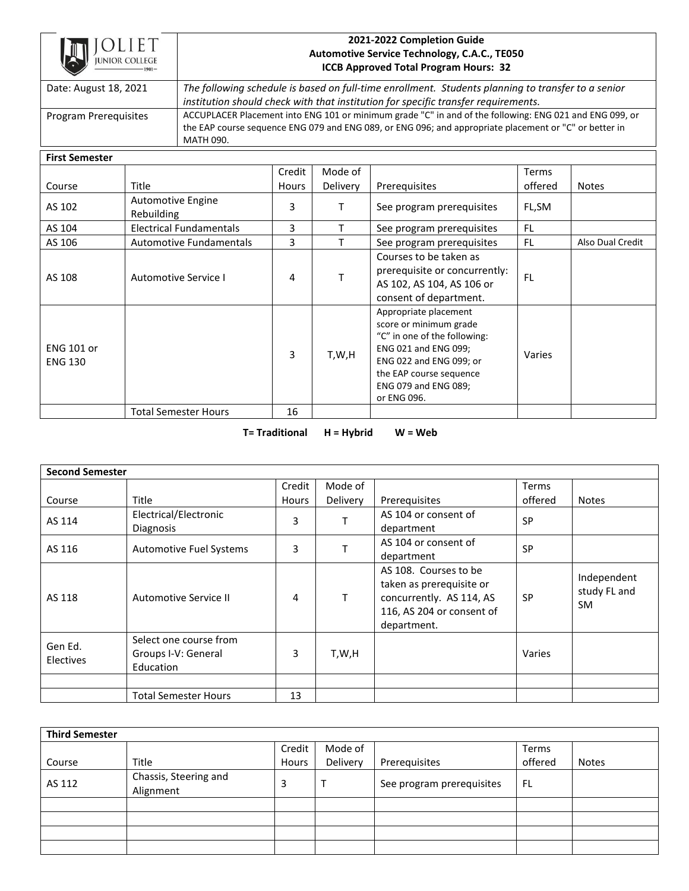

## **2021-2022 Completion Guide Automotive Service Technology, C.A.C., TE050 ICCB Approved Total Program Hours: 32**

Date: August 18, 2021 *The following schedule is based on full-time enrollment. Students planning to transfer to a senior institution should check with that institution for specific transfer requirements.* Program Prerequisites | ACCUPLACER Placement into ENG 101 or minimum grade "C" in and of the following: ENG 021 and ENG 099, or the EAP course sequence ENG 079 and ENG 089, or ENG 096; and appropriate placement or "C" or better in MATH 090.

## **First Semester**

|                                     |                                 | Credit       | Mode of  |                                                                                                                                                                                                      | Terms     |                  |
|-------------------------------------|---------------------------------|--------------|----------|------------------------------------------------------------------------------------------------------------------------------------------------------------------------------------------------------|-----------|------------------|
| Course                              | Title                           | <b>Hours</b> | Delivery | Prerequisites                                                                                                                                                                                        | offered   | <b>Notes</b>     |
| AS 102                              | Automotive Engine<br>Rebuilding | 3            | Τ        | See program prerequisites                                                                                                                                                                            | FL,SM     |                  |
| AS 104                              | Electrical Fundamentals         | 3            |          | See program prerequisites                                                                                                                                                                            | FL        |                  |
| AS 106                              | <b>Automotive Fundamentals</b>  | 3            |          | See program prerequisites                                                                                                                                                                            | FL.       | Also Dual Credit |
| AS 108                              | Automotive Service I            | 4            |          | Courses to be taken as<br>prerequisite or concurrently:<br>AS 102, AS 104, AS 106 or<br>consent of department.                                                                                       | <b>FL</b> |                  |
| <b>ENG 101 or</b><br><b>ENG 130</b> |                                 | 3            | T,W,H    | Appropriate placement<br>score or minimum grade<br>"C" in one of the following:<br>ENG 021 and ENG 099;<br>ENG 022 and ENG 099; or<br>the EAP course sequence<br>ENG 079 and ENG 089;<br>or ENG 096. | Varies    |                  |
|                                     | <b>Total Semester Hours</b>     | 16           |          |                                                                                                                                                                                                      |           |                  |

**T= Traditional H = Hybrid W = Web**

| <b>Second Semester</b>      |                                                            |              |          |                                                                                                                           |           |                                          |  |
|-----------------------------|------------------------------------------------------------|--------------|----------|---------------------------------------------------------------------------------------------------------------------------|-----------|------------------------------------------|--|
|                             |                                                            | Credit       | Mode of  |                                                                                                                           | Terms     |                                          |  |
| Course                      | Title                                                      | <b>Hours</b> | Delivery | Prerequisites                                                                                                             | offered   | <b>Notes</b>                             |  |
| AS 114                      | Electrical/Electronic                                      | 3            |          | AS 104 or consent of                                                                                                      | <b>SP</b> |                                          |  |
|                             | <b>Diagnosis</b>                                           |              |          | department                                                                                                                |           |                                          |  |
| AS 116                      | Automotive Fuel Systems                                    | 3            |          | AS 104 or consent of                                                                                                      | <b>SP</b> |                                          |  |
|                             |                                                            |              |          | department                                                                                                                |           |                                          |  |
| AS 118                      | Automotive Service II                                      | 4            | T.       | AS 108. Courses to be<br>taken as prerequisite or<br>concurrently. AS 114, AS<br>116, AS 204 or consent of<br>department. | <b>SP</b> | Independent<br>study FL and<br><b>SM</b> |  |
| Gen Ed.<br><b>Electives</b> | Select one course from<br>Groups I-V: General<br>Education | 3            | T,W,H    |                                                                                                                           | Varies    |                                          |  |
|                             |                                                            |              |          |                                                                                                                           |           |                                          |  |
|                             | <b>Total Semester Hours</b>                                | 13           |          |                                                                                                                           |           |                                          |  |

| <b>Third Semester</b> |                                    |        |          |                           |         |              |  |  |
|-----------------------|------------------------------------|--------|----------|---------------------------|---------|--------------|--|--|
|                       |                                    | Credit | Mode of  |                           | Terms   |              |  |  |
| Course                | Title                              | Hours  | Delivery | Prerequisites             | offered | <b>Notes</b> |  |  |
| AS 112                | Chassis, Steering and<br>Alignment | 3      |          | See program prerequisites | FL      |              |  |  |
|                       |                                    |        |          |                           |         |              |  |  |
|                       |                                    |        |          |                           |         |              |  |  |
|                       |                                    |        |          |                           |         |              |  |  |
|                       |                                    |        |          |                           |         |              |  |  |